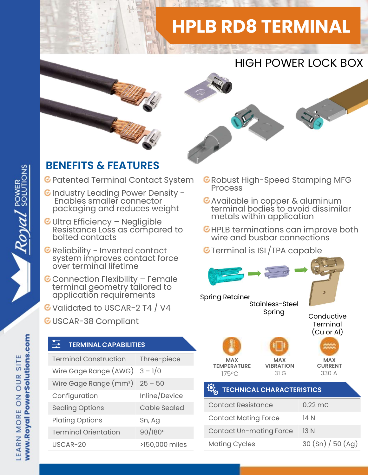## HPLB RD8 TERMINAL







## BENEFITS & FEATURES

- C Patented Terminal Contact System C Robust I
- C Industry Leading Power Density -<br>Enables smaller connector C Available in copper & aluminum Enables smaller connector packaging and reduces weight
- ENEFITS & FEATURES<br>
Patented Terminal Contact System ERG<br>
Industry Leading Power Density Resistance Ionnector<br>
Packaging and reduces weight<br>
Ultra Efficiency Negligible<br>
Resistance Loss as compared to EH<br>
bolted contac Reliability Leading Power Density -<br>Finables smaller connector<br>packaging and reduces weight<br>Ultra Efficiency – Negligible<br>Resistance Loss as compared to<br>bolted contacts<br>Reliability - Inverted contact<br>system improves contac
- 
- packaging and reduces weight<br>
Ultra Efficiency Negligible<br>
Resistance Loss as compared to<br>
Reliability Inverted contact<br>
Reliability Inverted contact<br>
System improves contact force<br>
over terminal lifetime<br>
Connection
- G Validated to USCAR-2 T4 / V4
- GUSCAR-38 Compliant

## TERMINAL CAPABILITIES

| application requirements<br>Validated to USCAR-2 T4 / V4<br><b>USCAR-38 Compliant</b> |                     | <b>Spring Retainer</b>                              |                      |
|---------------------------------------------------------------------------------------|---------------------|-----------------------------------------------------|----------------------|
| $\frac{1}{\sqrt{2}}$<br><b>TERMINAL CAPABILITIES</b>                                  |                     |                                                     |                      |
| <b>Terminal Construction</b>                                                          | Three-piece         | <b>MAX</b><br><b>TEMPERATURE</b><br>$175^{\circ}$ C |                      |
| Wire Gage Range $(AWG)$ 3 - 1/0                                                       |                     |                                                     |                      |
| Wire Gage Range $(mm^2)$ 25 - 50                                                      |                     |                                                     | <b>TECHNIC</b>       |
| Configuration                                                                         | Inline/Device       |                                                     |                      |
| <b>Sealing Options</b>                                                                | <b>Cable Sealed</b> |                                                     | <b>Contact Resis</b> |
| <b>Plating Options</b>                                                                | Sn, Ag              |                                                     | <b>Contact Mati</b>  |
| <b>Terminal Orientation</b>                                                           | $90/180^{\circ}$    |                                                     | Contact Un-r         |
| USCAR-20                                                                              | >150,000 miles      |                                                     | <b>Mating Cycle</b>  |
|                                                                                       |                     |                                                     |                      |

- **C** Robust High-Speed Stamping MFG
- terminal bodies to avoid dissimilar metals within application
- HPLB terminations can improve both wire and busbar connections
- **G** Terminal is ISL/TPA capable